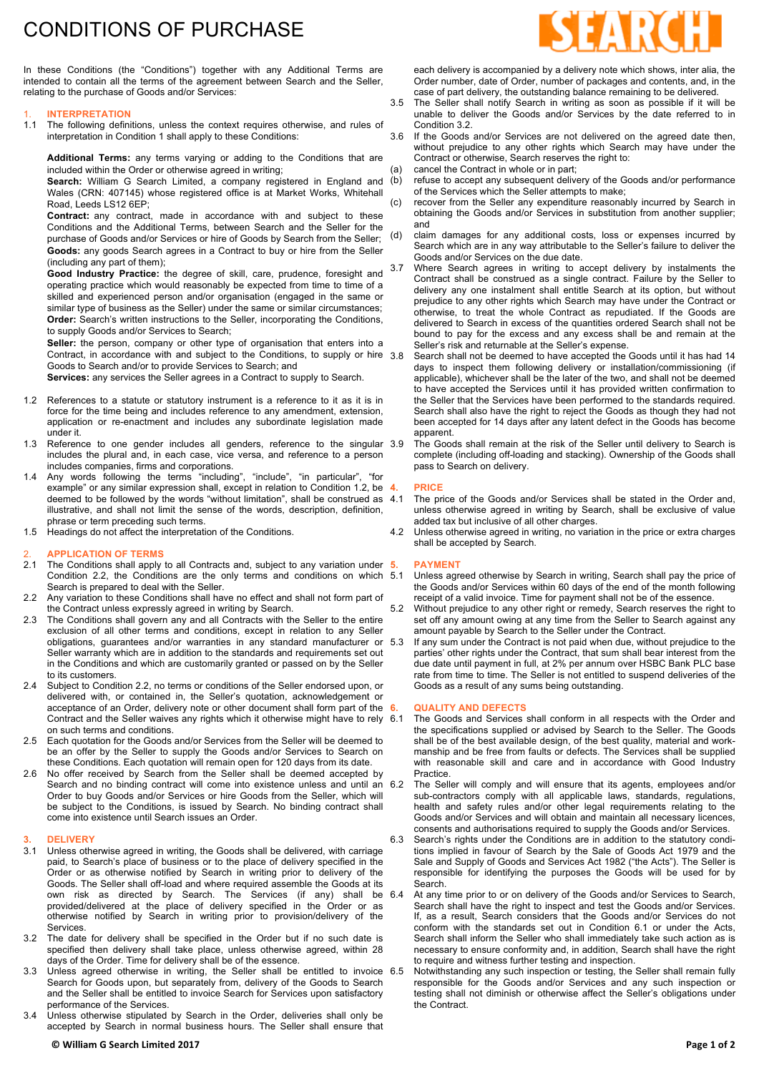# CONDITIONS OF PURCHASE

In these Conditions (the "Conditions") together with any Additional Terms are intended to contain all the terms of the agreement between Search and the Seller, relating to the purchase of Goods and/or Services:

### 1. **INTERPRETATION**

1.1 The following definitions, unless the context requires otherwise, and rules of interpretation in Condition 1 shall apply to these Conditions:

**Additional Terms:** any terms varying or adding to the Conditions that are included within the Order or otherwise agreed in writing;

Search: William G Search Limited, a company registered in England and (b) Wales (CRN: 407145) whose registered office is at Market Works, Whitehall Road, Leeds LS12 6EP;

**Contract:** any contract, made in accordance with and subject to these Conditions and the Additional Terms, between Search and the Seller for the purchase of Goods and/or Services or hire of Goods by Search from the Seller; **Goods:** any goods Search agrees in a Contract to buy or hire from the Seller (including any part of them);

**Good Industry Practice:** the degree of skill, care, prudence, foresight and operating practice which would reasonably be expected from time to time of a skilled and experienced person and/or organisation (engaged in the same or similar type of business as the Seller) under the same or similar circumstances; **Order:** Search's written instructions to the Seller, incorporating the Conditions, to supply Goods and/or Services to Search;

**Seller:** the person, company or other type of organisation that enters into a Contract, in accordance with and subject to the Conditions, to supply or hire 38 Goods to Search and/or to provide Services to Search; and

**Services:** any services the Seller agrees in a Contract to supply to Search.

- 1.2 References to a statute or statutory instrument is a reference to it as it is in force for the time being and includes reference to any amendment, extension, application or re-enactment and includes any subordinate legislation made under it.
- 1.3 Reference to one gender includes all genders, reference to the singular includes the plural and, in each case, vice versa, and reference to a person includes companies, firms and corporations.
- 1.4 Any words following the terms "including", "include", "in particular", "for example" or any similar expression shall, except in relation to Condition 1.2, be 4. deemed to be followed by the words "without limitation", shall be construed as 4.1 illustrative, and shall not limit the sense of the words, description, definition, phrase or term preceding such terms.
- 1.5 Headings do not affect the interpretation of the Conditions.

# 2. **APPLICATION OF TERMS**

- The Conditions shall apply to all Contracts and, subject to any variation under 5. Condition 2.2, the Conditions are the only terms and conditions on which 5.1 Search is prepared to deal with the Seller.
- 2.2 Any variation to these Conditions shall have no effect and shall not form part of the Contract unless expressly agreed in writing by Search.
- 2.3 The Conditions shall govern any and all Contracts with the Seller to the entire exclusion of all other terms and conditions, except in relation to any Seller obligations, guarantees and/or warranties in any standard manufacturer or Seller warranty which are in addition to the standards and requirements set out in the Conditions and which are customarily granted or passed on by the Seller to its customers.
- 2.4 Subject to Condition 2.2, no terms or conditions of the Seller endorsed upon, or delivered with, or contained in, the Seller's quotation, acknowledgement or acceptance of an Order, delivery note or other document shall form part of the 6. Contract and the Seller waives any rights which it otherwise might have to rely on such terms and conditions.
- Each quotation for the Goods and/or Services from the Seller will be deemed to be an offer by the Seller to supply the Goods and/or Services to Search on these Conditions. Each quotation will remain open for 120 days from its date.
- 2.6 No offer received by Search from the Seller shall be deemed accepted by Search and no binding contract will come into existence unless and until an 6.2 Order to buy Goods and/or Services or hire Goods from the Seller, which will be subject to the Conditions, is issued by Search. No binding contract shall come into existence until Search issues an Order.

## **3. DELIVERY**

- 3.1 Unless otherwise agreed in writing, the Goods shall be delivered, with carriage paid, to Search's place of business or to the place of delivery specified in the Order or as otherwise notified by Search in writing prior to delivery of the Goods. The Seller shall off-load and where required assemble the Goods at its own risk as directed by Search. The Services (if any) shall be 6.4 provided/delivered at the place of delivery specified in the Order or as otherwise notified by Search in writing prior to provision/delivery of the **Services**
- 3.2 The date for delivery shall be specified in the Order but if no such date is specified then delivery shall take place, unless otherwise agreed, within 28 days of the Order. Time for delivery shall be of the essence.
- 3.3 Unless agreed otherwise in writing, the Seller shall be entitled to invoice 6.5 Search for Goods upon, but separately from, delivery of the Goods to Search and the Seller shall be entitled to invoice Search for Services upon satisfactory performance of the Services.
- 3.4 Unless otherwise stipulated by Search in the Order, deliveries shall only be accepted by Search in normal business hours. The Seller shall ensure that



each delivery is accompanied by a delivery note which shows, inter alia, the Order number, date of Order, number of packages and contents, and, in the case of part delivery, the outstanding balance remaining to be delivered.

- 3.5 The Seller shall notify Search in writing as soon as possible if it will be unable to deliver the Goods and/or Services by the date referred to in Condition 3.2.
- 3.6 If the Goods and/or Services are not delivered on the agreed date then, without prejudice to any other rights which Search may have under the Contract or otherwise, Search reserves the right to: cancel the Contract in whole or in part:
- refuse to accept any subsequent delivery of the Goods and/or performance of the Services which the Seller attempts to make;
- (c) recover from the Seller any expenditure reasonably incurred by Search in obtaining the Goods and/or Services in substitution from another supplier; and
- (d) claim damages for any additional costs, loss or expenses incurred by Search which are in any way attributable to the Seller's failure to deliver the Goods and/or Services on the due date.
	- Where Search agrees in writing to accept delivery by instalments the Contract shall be construed as a single contract. Failure by the Seller to delivery any one instalment shall entitle Search at its option, but without prejudice to any other rights which Search may have under the Contract or otherwise, to treat the whole Contract as repudiated. If the Goods are delivered to Search in excess of the quantities ordered Search shall not be bound to pay for the excess and any excess shall be and remain at the Seller's risk and returnable at the Seller's expense.
	- Search shall not be deemed to have accepted the Goods until it has had 14 days to inspect them following delivery or installation/commissioning (if applicable), whichever shall be the later of the two, and shall not be deemed to have accepted the Services until it has provided written confirmation to the Seller that the Services have been performed to the standards required. Search shall also have the right to reject the Goods as though they had not been accepted for 14 days after any latent defect in the Goods has become apparent.
	- The Goods shall remain at the risk of the Seller until delivery to Search is complete (including off-loading and stacking). Ownership of the Goods shall pass to Search on delivery.

### **4. PRICE**

- The price of the Goods and/or Services shall be stated in the Order and, unless otherwise agreed in writing by Search, shall be exclusive of value added tax but inclusive of all other charges.
- 4.2 Unless otherwise agreed in writing, no variation in the price or extra charges shall be accepted by Search.

#### **5. PAYMENT**

- Unless agreed otherwise by Search in writing, Search shall pay the price of the Goods and/or Services within 60 days of the end of the month following receipt of a valid invoice. Time for payment shall not be of the essence.
- 5.2 Without prejudice to any other right or remedy, Search reserves the right to set off any amount owing at any time from the Seller to Search against any amount payable by Search to the Seller under the Contract.
- If any sum under the Contract is not paid when due, without prejudice to the parties' other rights under the Contract, that sum shall bear interest from the due date until payment in full, at 2% per annum over HSBC Bank PLC base rate from time to time. The Seller is not entitled to suspend deliveries of the Goods as a result of any sums being outstanding.

## **6. QUALITY AND DEFECTS**

- The Goods and Services shall conform in all respects with the Order and the specifications supplied or advised by Search to the Seller. The Goods shall be of the best available design, of the best quality, material and workmanship and be free from faults or defects. The Services shall be supplied with reasonable skill and care and in accordance with Good Industry Practice.
- The Seller will comply and will ensure that its agents, employees and/or sub-contractors comply with all applicable laws, standards, regulations, health and safety rules and/or other legal requirements relating to the Goods and/or Services and will obtain and maintain all necessary licences, consents and authorisations required to supply the Goods and/or Services.
- 6.3 Search's rights under the Conditions are in addition to the statutory conditions implied in favour of Search by the Sale of Goods Act 1979 and the Sale and Supply of Goods and Services Act 1982 ("the Acts"). The Seller is responsible for identifying the purposes the Goods will be used for by Search.
	- At any time prior to or on delivery of the Goods and/or Services to Search, Search shall have the right to inspect and test the Goods and/or Services. If, as a result, Search considers that the Goods and/or Services do not conform with the standards set out in Condition 6.1 or under the Acts, Search shall inform the Seller who shall immediately take such action as is necessary to ensure conformity and, in addition, Search shall have the right to require and witness further testing and inspection.
	- Notwithstanding any such inspection or testing, the Seller shall remain fully responsible for the Goods and/or Services and any such inspection or testing shall not diminish or otherwise affect the Seller's obligations under the Contract.